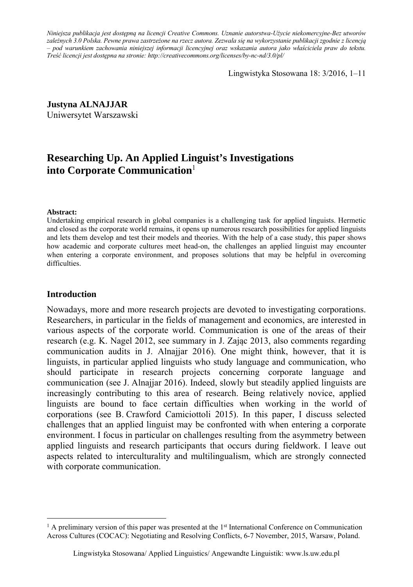*Niniejsza publikacja jest dostępną na licencji Creative Commons. Uznanie autorstwa-Użycie niekomercyjne-Bez utworów zależnych 3.0 Polska. Pewne prawa zastrzeżone na rzecz autora. Zezwala się na wykorzystanie publikacji zgodnie z licencją – pod warunkiem zachowania niniejszej informacji licencyjnej oraz wskazania autora jako właściciela praw do tekstu. Treść licencji jest dostępna na stronie: http://creativecommons.org/licenses/by-nc-nd/3.0/pl/*

Lingwistyka Stosowana 18: 3/2016, 1–11

**Justyna ALNAJJAR**  Uniwersytet Warszawski

# **Researching Up. An Applied Linguist's Investigations into Corporate Communication**<sup>1</sup>

#### **Abstract:**

Undertaking empirical research in global companies is a challenging task for applied linguists. Hermetic and closed as the corporate world remains, it opens up numerous research possibilities for applied linguists and lets them develop and test their models and theories. With the help of a case study, this paper shows how academic and corporate cultures meet head-on, the challenges an applied linguist may encounter when entering a corporate environment, and proposes solutions that may be helpful in overcoming difficulties.

#### **Introduction**

 $\overline{a}$ 

Nowadays, more and more research projects are devoted to investigating corporations. Researchers, in particular in the fields of management and economics, are interested in various aspects of the corporate world. Communication is one of the areas of their research (e.g. K. Nagel 2012, see summary in J. Zając 2013, also comments regarding communication audits in J. Alnajjar 2016). One might think, however, that it is linguists, in particular applied linguists who study language and communication, who should participate in research projects concerning corporate language and communication (see J. Alnajjar 2016). Indeed, slowly but steadily applied linguists are increasingly contributing to this area of research. Being relatively novice, applied linguists are bound to face certain difficulties when working in the world of corporations (see B. Crawford Camiciottoli 2015). In this paper, I discuss selected challenges that an applied linguist may be confronted with when entering a corporate environment. I focus in particular on challenges resulting from the asymmetry between applied linguists and research participants that occurs during fieldwork. I leave out aspects related to interculturality and multilingualism, which are strongly connected with corporate communication.

 $<sup>1</sup>$  A preliminary version of this paper was presented at the 1<sup>st</sup> International Conference on Communication</sup> Across Cultures (COCAC): Negotiating and Resolving Conflicts, 6-7 November, 2015, Warsaw, Poland.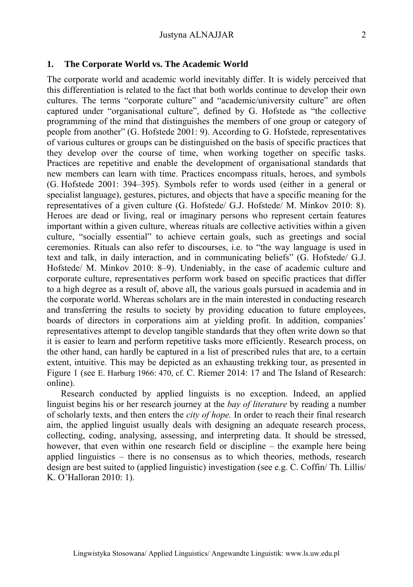#### **1. The Corporate World vs. The Academic World**

The corporate world and academic world inevitably differ. It is widely perceived that this differentiation is related to the fact that both worlds continue to develop their own cultures. The terms "corporate culture" and "academic/university culture" are often captured under "organisational culture", defined by G. Hofstede as "the collective programming of the mind that distinguishes the members of one group or category of people from another" (G. Hofstede 2001: 9). According to G. Hofstede, representatives of various cultures or groups can be distinguished on the basis of specific practices that they develop over the course of time, when working together on specific tasks. Practices are repetitive and enable the development of organisational standards that new members can learn with time. Practices encompass rituals, heroes, and symbols (G. Hofstede 2001: 394–395). Symbols refer to words used (either in a general or specialist language), gestures, pictures, and objects that have a specific meaning for the representatives of a given culture (G. Hofstede/ G.J. Hofstede/ M. Minkov 2010: 8). Heroes are dead or living, real or imaginary persons who represent certain features important within a given culture, whereas rituals are collective activities within a given culture, "socially essential" to achieve certain goals, such as greetings and social ceremonies. Rituals can also refer to discourses, i.e. to "the way language is used in text and talk, in daily interaction, and in communicating beliefs" (G. Hofstede/ G.J. Hofstede/ M. Minkov 2010: 8–9). Undeniably, in the case of academic culture and corporate culture, representatives perform work based on specific practices that differ to a high degree as a result of, above all, the various goals pursued in academia and in the corporate world. Whereas scholars are in the main interested in conducting research and transferring the results to society by providing education to future employees, boards of directors in corporations aim at yielding profit. In addition, companies' representatives attempt to develop tangible standards that they often write down so that it is easier to learn and perform repetitive tasks more efficiently. Research process, on the other hand, can hardly be captured in a list of prescribed rules that are, to a certain extent, intuitive. This may be depicted as an exhausting trekking tour, as presented in Figure 1 (see E. Harburg 1966: 470, cf. C. Riemer 2014: 17 and The Island of Research: online).

Research conducted by applied linguists is no exception. Indeed, an applied linguist begins his or her research journey at the *bay of literature* by reading a number of scholarly texts, and then enters the *city of hope.* In order to reach their final research aim, the applied linguist usually deals with designing an adequate research process, collecting, coding, analysing, assessing, and interpreting data. It should be stressed, however, that even within one research field or discipline – the example here being applied linguistics – there is no consensus as to which theories, methods, research design are best suited to (applied linguistic) investigation (see e.g. C. Coffin/ Th. Lillis/ K. O'Halloran 2010: 1).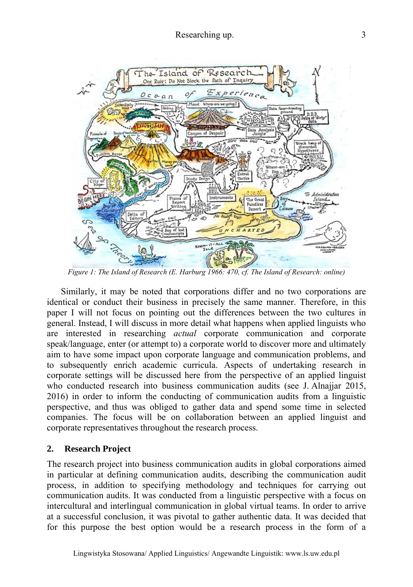

*Figure 1: The Island of Research (E. Harburg 1966: 470, cf. The Island of Research: online)*

Similarly, it may be noted that corporations differ and no two corporations are identical or conduct their business in precisely the same manner. Therefore, in this paper I will not focus on pointing out the differences between the two cultures in general. Instead, I will discuss in more detail what happens when applied linguists who are interested in researching *actual* corporate communication and corporate speak/language, enter (or attempt to) a corporate world to discover more and ultimately aim to have some impact upon corporate language and communication problems, and to subsequently enrich academic curricula. Aspects of undertaking research in corporate settings will be discussed here from the perspective of an applied linguist who conducted research into business communication audits (see J. Alnajjar 2015, 2016) in order to inform the conducting of communication audits from a linguistic perspective, and thus was obliged to gather data and spend some time in selected companies. The focus will be on collaboration between an applied linguist and corporate representatives throughout the research process.

#### **2. Research Project**

The research project into business communication audits in global corporations aimed in particular at defining communication audits, describing the communication audit process, in addition to specifying methodology and techniques for carrying out communication audits. It was conducted from a linguistic perspective with a focus on intercultural and interlingual communication in global virtual teams. In order to arrive at a successful conclusion, it was pivotal to gather authentic data. It was decided that for this purpose the best option would be a research process in the form of a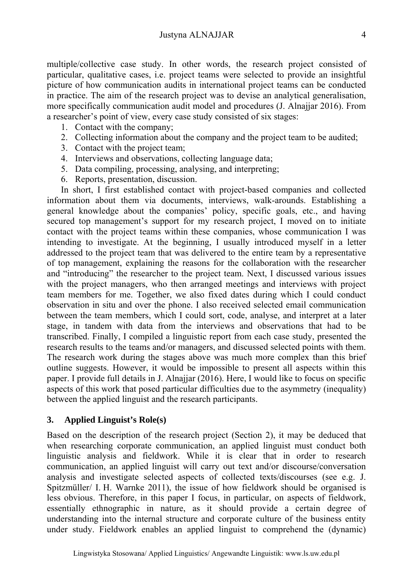multiple/collective case study. In other words, the research project consisted of particular, qualitative cases, i.e. project teams were selected to provide an insightful picture of how communication audits in international project teams can be conducted in practice. The aim of the research project was to devise an analytical generalisation, more specifically communication audit model and procedures (J. Alnajjar 2016). From a researcher's point of view, every case study consisted of six stages:

- 1. Contact with the company;
- 2. Collecting information about the company and the project team to be audited;
- 3. Contact with the project team;
- 4. Interviews and observations, collecting language data;
- 5. Data compiling, processing, analysing, and interpreting;
- 6. Reports, presentation, discussion.

In short, I first established contact with project-based companies and collected information about them via documents, interviews, walk-arounds. Establishing a general knowledge about the companies' policy, specific goals, etc., and having secured top management's support for my research project, I moved on to initiate contact with the project teams within these companies, whose communication I was intending to investigate. At the beginning, I usually introduced myself in a letter addressed to the project team that was delivered to the entire team by a representative of top management, explaining the reasons for the collaboration with the researcher and "introducing" the researcher to the project team. Next, I discussed various issues with the project managers, who then arranged meetings and interviews with project team members for me. Together, we also fixed dates during which I could conduct observation in situ and over the phone. I also received selected email communication between the team members, which I could sort, code, analyse, and interpret at a later stage, in tandem with data from the interviews and observations that had to be transcribed. Finally, I compiled a linguistic report from each case study, presented the research results to the teams and/or managers, and discussed selected points with them. The research work during the stages above was much more complex than this brief outline suggests. However, it would be impossible to present all aspects within this paper. I provide full details in J. Alnajjar (2016). Here, I would like to focus on specific aspects of this work that posed particular difficulties due to the asymmetry (inequality) between the applied linguist and the research participants.

# **3. Applied Linguist's Role(s)**

Based on the description of the research project (Section 2), it may be deduced that when researching corporate communication, an applied linguist must conduct both linguistic analysis and fieldwork. While it is clear that in order to research communication, an applied linguist will carry out text and/or discourse/conversation analysis and investigate selected aspects of collected texts/discourses (see e.g. J. Spitzmüller/ I. H. Warnke 2011), the issue of how fieldwork should be organised is less obvious. Therefore, in this paper I focus, in particular, on aspects of fieldwork, essentially ethnographic in nature, as it should provide a certain degree of understanding into the internal structure and corporate culture of the business entity under study. Fieldwork enables an applied linguist to comprehend the (dynamic)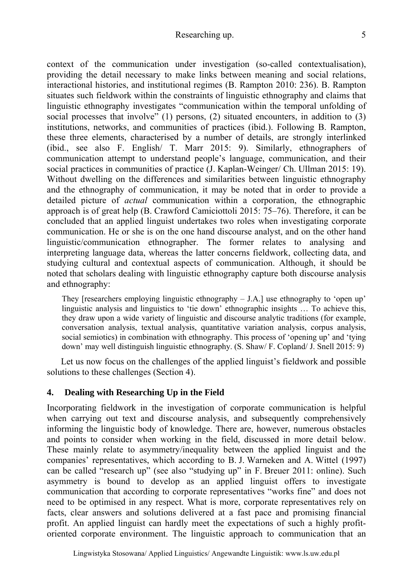#### Researching up. 5

context of the communication under investigation (so-called contextualisation), providing the detail necessary to make links between meaning and social relations, interactional histories, and institutional regimes (B. Rampton 2010: 236). B. Rampton situates such fieldwork within the constraints of linguistic ethnography and claims that linguistic ethnography investigates "communication within the temporal unfolding of social processes that involve" (1) persons, (2) situated encounters, in addition to (3) institutions, networks, and communities of practices (ibid.). Following B. Rampton, these three elements, characterised by a number of details, are strongly interlinked (ibid., see also F. English/ T. Marr 2015: 9). Similarly, ethnographers of communication attempt to understand people's language, communication, and their social practices in communities of practice (J. Kaplan-Weinger/ Ch. Ullman 2015: 19). Without dwelling on the differences and similarities between linguistic ethnography and the ethnography of communication, it may be noted that in order to provide a detailed picture of *actual* communication within a corporation, the ethnographic approach is of great help (B. Crawford Camiciottoli 2015: 75–76). Therefore, it can be concluded that an applied linguist undertakes two roles when investigating corporate communication. He or she is on the one hand discourse analyst, and on the other hand linguistic/communication ethnographer. The former relates to analysing and interpreting language data, whereas the latter concerns fieldwork, collecting data, and studying cultural and contextual aspects of communication. Although, it should be noted that scholars dealing with linguistic ethnography capture both discourse analysis and ethnography:

They [researchers employing linguistic ethnography – J.A.] use ethnography to 'open up' linguistic analysis and linguistics to 'tie down' ethnographic insights … To achieve this, they draw upon a wide variety of linguistic and discourse analytic traditions (for example, conversation analysis, textual analysis, quantitative variation analysis, corpus analysis, social semiotics) in combination with ethnography. This process of 'opening up' and 'tying down' may well distinguish linguistic ethnography. (S. Shaw/ F. Copland/ J. Snell 2015: 9)

Let us now focus on the challenges of the applied linguist's fieldwork and possible solutions to these challenges (Section 4).

# **4. Dealing with Researching Up in the Field**

Incorporating fieldwork in the investigation of corporate communication is helpful when carrying out text and discourse analysis, and subsequently comprehensively informing the linguistic body of knowledge. There are, however, numerous obstacles and points to consider when working in the field, discussed in more detail below. These mainly relate to asymmetry/inequality between the applied linguist and the companies' representatives, which according to B. J. Warneken and A. Wittel (1997) can be called "research up" (see also "studying up" in F. Breuer 2011: online). Such asymmetry is bound to develop as an applied linguist offers to investigate communication that according to corporate representatives "works fine" and does not need to be optimised in any respect. What is more, corporate representatives rely on facts, clear answers and solutions delivered at a fast pace and promising financial profit. An applied linguist can hardly meet the expectations of such a highly profitoriented corporate environment. The linguistic approach to communication that an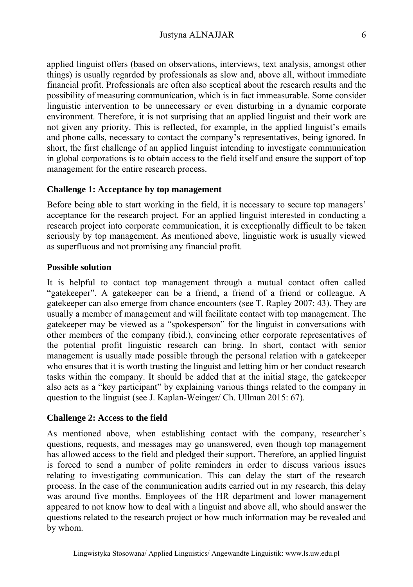applied linguist offers (based on observations, interviews, text analysis, amongst other things) is usually regarded by professionals as slow and, above all, without immediate financial profit. Professionals are often also sceptical about the research results and the possibility of measuring communication, which is in fact immeasurable. Some consider linguistic intervention to be unnecessary or even disturbing in a dynamic corporate environment. Therefore, it is not surprising that an applied linguist and their work are not given any priority. This is reflected, for example, in the applied linguist's emails and phone calls, necessary to contact the company's representatives, being ignored. In short, the first challenge of an applied linguist intending to investigate communication in global corporations is to obtain access to the field itself and ensure the support of top management for the entire research process.

# **Challenge 1: Acceptance by top management**

Before being able to start working in the field, it is necessary to secure top managers' acceptance for the research project. For an applied linguist interested in conducting a research project into corporate communication, it is exceptionally difficult to be taken seriously by top management. As mentioned above, linguistic work is usually viewed as superfluous and not promising any financial profit.

#### **Possible solution**

It is helpful to contact top management through a mutual contact often called "gatekeeper". A gatekeeper can be a friend, a friend of a friend or colleague. A gatekeeper can also emerge from chance encounters (see T. Rapley 2007: 43). They are usually a member of management and will facilitate contact with top management. The gatekeeper may be viewed as a "spokesperson" for the linguist in conversations with other members of the company (ibid.), convincing other corporate representatives of the potential profit linguistic research can bring. In short, contact with senior management is usually made possible through the personal relation with a gatekeeper who ensures that it is worth trusting the linguist and letting him or her conduct research tasks within the company. It should be added that at the initial stage, the gatekeeper also acts as a "key participant" by explaining various things related to the company in question to the linguist (see J. Kaplan-Weinger/ Ch. Ullman 2015: 67).

# **Challenge 2: Access to the field**

As mentioned above, when establishing contact with the company, researcher's questions, requests, and messages may go unanswered, even though top management has allowed access to the field and pledged their support. Therefore, an applied linguist is forced to send a number of polite reminders in order to discuss various issues relating to investigating communication. This can delay the start of the research process. In the case of the communication audits carried out in my research, this delay was around five months. Employees of the HR department and lower management appeared to not know how to deal with a linguist and above all, who should answer the questions related to the research project or how much information may be revealed and by whom.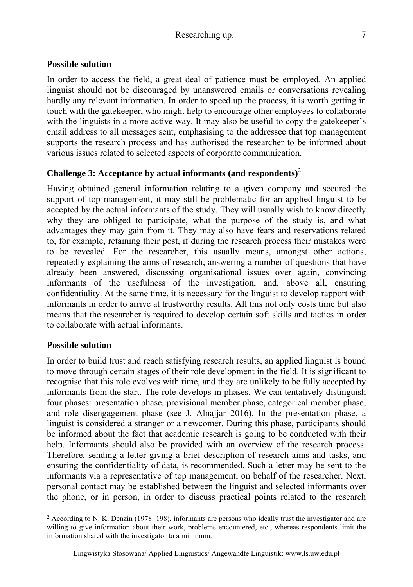# **Possible solution**

In order to access the field, a great deal of patience must be employed. An applied linguist should not be discouraged by unanswered emails or conversations revealing hardly any relevant information. In order to speed up the process, it is worth getting in touch with the gatekeeper, who might help to encourage other employees to collaborate with the linguists in a more active way. It may also be useful to copy the gatekeeper's email address to all messages sent, emphasising to the addressee that top management supports the research process and has authorised the researcher to be informed about various issues related to selected aspects of corporate communication.

# **Challenge 3: Acceptance by actual informants (and respondents)**<sup>2</sup>

Having obtained general information relating to a given company and secured the support of top management, it may still be problematic for an applied linguist to be accepted by the actual informants of the study. They will usually wish to know directly why they are obliged to participate, what the purpose of the study is, and what advantages they may gain from it. They may also have fears and reservations related to, for example, retaining their post, if during the research process their mistakes were to be revealed. For the researcher, this usually means, amongst other actions, repeatedly explaining the aims of research, answering a number of questions that have already been answered, discussing organisational issues over again, convincing informants of the usefulness of the investigation, and, above all, ensuring confidentiality. At the same time, it is necessary for the linguist to develop rapport with informants in order to arrive at trustworthy results. All this not only costs time but also means that the researcher is required to develop certain soft skills and tactics in order to collaborate with actual informants.

# **Possible solution**

 $\overline{a}$ 

In order to build trust and reach satisfying research results, an applied linguist is bound to move through certain stages of their role development in the field. It is significant to recognise that this role evolves with time, and they are unlikely to be fully accepted by informants from the start. The role develops in phases. We can tentatively distinguish four phases: presentation phase, provisional member phase, categorical member phase, and role disengagement phase (see J. Alnajjar 2016). In the presentation phase, a linguist is considered a stranger or a newcomer. During this phase, participants should be informed about the fact that academic research is going to be conducted with their help. Informants should also be provided with an overview of the research process. Therefore, sending a letter giving a brief description of research aims and tasks, and ensuring the confidentiality of data, is recommended. Such a letter may be sent to the informants via a representative of top management, on behalf of the researcher. Next, personal contact may be established between the linguist and selected informants over the phone, or in person, in order to discuss practical points related to the research

<sup>2</sup> According to N. K. Denzin (1978: 198), informants are persons who ideally trust the investigator and are willing to give information about their work, problems encountered, etc., whereas respondents limit the information shared with the investigator to a minimum.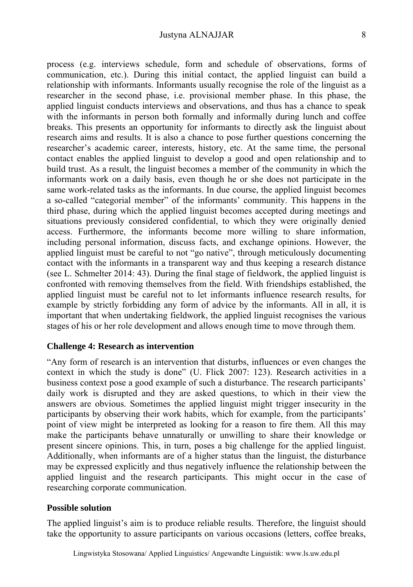process (e.g. interviews schedule, form and schedule of observations, forms of communication, etc.). During this initial contact, the applied linguist can build a relationship with informants. Informants usually recognise the role of the linguist as a researcher in the second phase, i.e. provisional member phase. In this phase, the applied linguist conducts interviews and observations, and thus has a chance to speak with the informants in person both formally and informally during lunch and coffee breaks. This presents an opportunity for informants to directly ask the linguist about research aims and results. It is also a chance to pose further questions concerning the researcher's academic career, interests, history, etc. At the same time, the personal contact enables the applied linguist to develop a good and open relationship and to build trust. As a result, the linguist becomes a member of the community in which the informants work on a daily basis, even though he or she does not participate in the same work-related tasks as the informants. In due course, the applied linguist becomes a so-called "categorial member" of the informants' community. This happens in the third phase, during which the applied linguist becomes accepted during meetings and situations previously considered confidential, to which they were originally denied access. Furthermore, the informants become more willing to share information, including personal information, discuss facts, and exchange opinions. However, the applied linguist must be careful to not "go native", through meticulously documenting contact with the informants in a transparent way and thus keeping a research distance (see L. Schmelter 2014: 43). During the final stage of fieldwork, the applied linguist is confronted with removing themselves from the field. With friendships established, the applied linguist must be careful not to let informants influence research results, for example by strictly forbidding any form of advice by the informants. All in all, it is important that when undertaking fieldwork, the applied linguist recognises the various stages of his or her role development and allows enough time to move through them.

#### **Challenge 4: Research as intervention**

"Any form of research is an intervention that disturbs, influences or even changes the context in which the study is done" (U. Flick 2007: 123). Research activities in a business context pose a good example of such a disturbance. The research participants' daily work is disrupted and they are asked questions, to which in their view the answers are obvious. Sometimes the applied linguist might trigger insecurity in the participants by observing their work habits, which for example, from the participants' point of view might be interpreted as looking for a reason to fire them. All this may make the participants behave unnaturally or unwilling to share their knowledge or present sincere opinions. This, in turn, poses a big challenge for the applied linguist. Additionally, when informants are of a higher status than the linguist, the disturbance may be expressed explicitly and thus negatively influence the relationship between the applied linguist and the research participants. This might occur in the case of researching corporate communication.

# **Possible solution**

The applied linguist's aim is to produce reliable results. Therefore, the linguist should take the opportunity to assure participants on various occasions (letters, coffee breaks,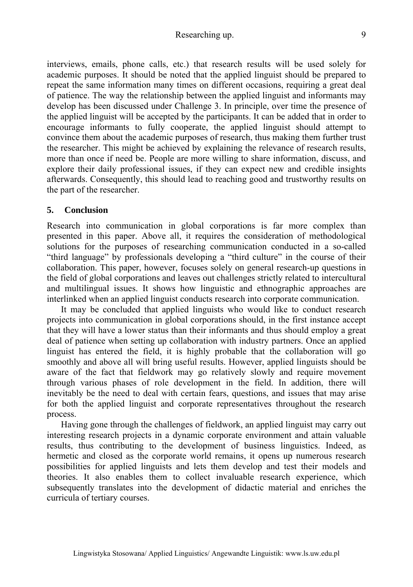# Researching up. 9

interviews, emails, phone calls, etc.) that research results will be used solely for academic purposes. It should be noted that the applied linguist should be prepared to repeat the same information many times on different occasions, requiring a great deal of patience. The way the relationship between the applied linguist and informants may develop has been discussed under Challenge 3. In principle, over time the presence of the applied linguist will be accepted by the participants. It can be added that in order to encourage informants to fully cooperate, the applied linguist should attempt to convince them about the academic purposes of research, thus making them further trust the researcher. This might be achieved by explaining the relevance of research results, more than once if need be. People are more willing to share information, discuss, and explore their daily professional issues, if they can expect new and credible insights afterwards. Consequently, this should lead to reaching good and trustworthy results on the part of the researcher.

#### **5. Conclusion**

Research into communication in global corporations is far more complex than presented in this paper. Above all, it requires the consideration of methodological solutions for the purposes of researching communication conducted in a so-called "third language" by professionals developing a "third culture" in the course of their collaboration. This paper, however, focuses solely on general research-up questions in the field of global corporations and leaves out challenges strictly related to intercultural and multilingual issues. It shows how linguistic and ethnographic approaches are interlinked when an applied linguist conducts research into corporate communication.

It may be concluded that applied linguists who would like to conduct research projects into communication in global corporations should, in the first instance accept that they will have a lower status than their informants and thus should employ a great deal of patience when setting up collaboration with industry partners. Once an applied linguist has entered the field, it is highly probable that the collaboration will go smoothly and above all will bring useful results. However, applied linguists should be aware of the fact that fieldwork may go relatively slowly and require movement through various phases of role development in the field. In addition, there will inevitably be the need to deal with certain fears, questions, and issues that may arise for both the applied linguist and corporate representatives throughout the research process.

Having gone through the challenges of fieldwork, an applied linguist may carry out interesting research projects in a dynamic corporate environment and attain valuable results, thus contributing to the development of business linguistics. Indeed, as hermetic and closed as the corporate world remains, it opens up numerous research possibilities for applied linguists and lets them develop and test their models and theories. It also enables them to collect invaluable research experience, which subsequently translates into the development of didactic material and enriches the curricula of tertiary courses.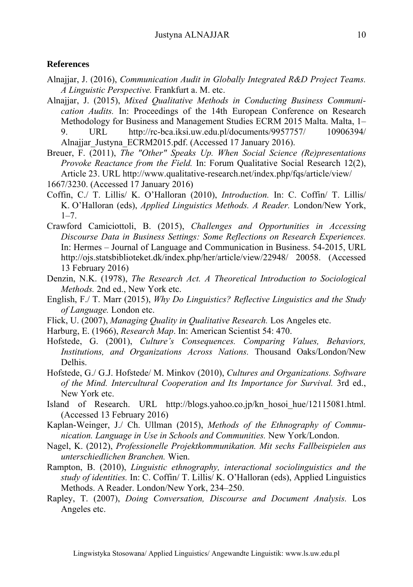# **References**

- Alnajjar, J. (2016), *Communication Audit in Globally Integrated R&D Project Teams. A Linguistic Perspective.* Frankfurt a. M. etc.
- Alnajjar, J. (2015), *Mixed Qualitative Methods in Conducting Business Communication Audits.* In: Proceedings of the 14th European Conference on Research Methodology for Business and Management Studies ECRM 2015 Malta. Malta, 1– 9. URL http://rc-bca.iksi.uw.edu.pl/documents/9957757/ 10906394/ Alnajjar\_Justyna\_ECRM2015.pdf. (Accessed 17 January 2016).
- Breuer, F. (2011), *The "Other" Speaks Up. When Social Science (Re)presentations Provoke Reactance from the Field.* In: Forum Qualitative Social Research 12(2), Article 23. URL http://www.qualitative-research.net/index.php/fqs/article/view/
- 1667/3230. (Accessed 17 January 2016)
- Coffin, C./ T. Lillis/ K. O'Halloran (2010), *Introduction.* In: C. Coffin/ T. Lillis/ K. O'Halloran (eds), *Applied Linguistics Methods. A Reader.* London/New York,  $1 - 7$
- Crawford Camiciottoli, B. (2015), *Challenges and Opportunities in Accessing Discourse Data in Business Settings: Some Reflections on Research Experiences.* In: Hermes – Journal of Language and Communication in Business. 54-2015, URL http://ojs.statsbiblioteket.dk/index.php/her/article/view/22948/ 20058. (Accessed 13 February 2016)
- Denzin, N.K. (1978), *The Research Act. A Theoretical Introduction to Sociological Methods.* 2nd ed., New York etc.
- English, F./ T. Marr (2015), *Why Do Linguistics? Reflective Linguistics and the Study of Language.* London etc.
- Flick, U. (2007), *Managing Quality in Qualitative Research.* Los Angeles etc.
- Harburg, E. (1966), *Research Map*. In: American Scientist 54: 470.
- Hofstede, G. (2001), *Culture's Consequences. Comparing Values, Behaviors, Institutions, and Organizations Across Nations.* Thousand Oaks/London/New Delhis.
- Hofstede, G./ G.J. Hofstede/ M. Minkov (2010), *Cultures and Organizations. Software of the Mind. Intercultural Cooperation and Its Importance for Survival.* 3rd ed., New York etc.
- Island of Research. URL http://blogs.yahoo.co.jp/kn\_hosoi\_hue/12115081.html. (Accessed 13 February 2016)
- Kaplan-Weinger, J./ Ch. Ullman (2015), *Methods of the Ethnography of Communication. Language in Use in Schools and Communities.* New York/London.
- Nagel, K. (2012), *Professionelle Projektkommunikation. Mit sechs Fallbeispielen aus unterschiedlichen Branchen.* Wien.
- Rampton, B. (2010), *Linguistic ethnography, interactional sociolinguistics and the study of identities.* In: C. Coffin/ T. Lillis/ K. O'Halloran (eds), Applied Linguistics Methods. A Reader. London/New York, 234–250.
- Rapley, T. (2007), *Doing Conversation, Discourse and Document Analysis.* Los Angeles etc.